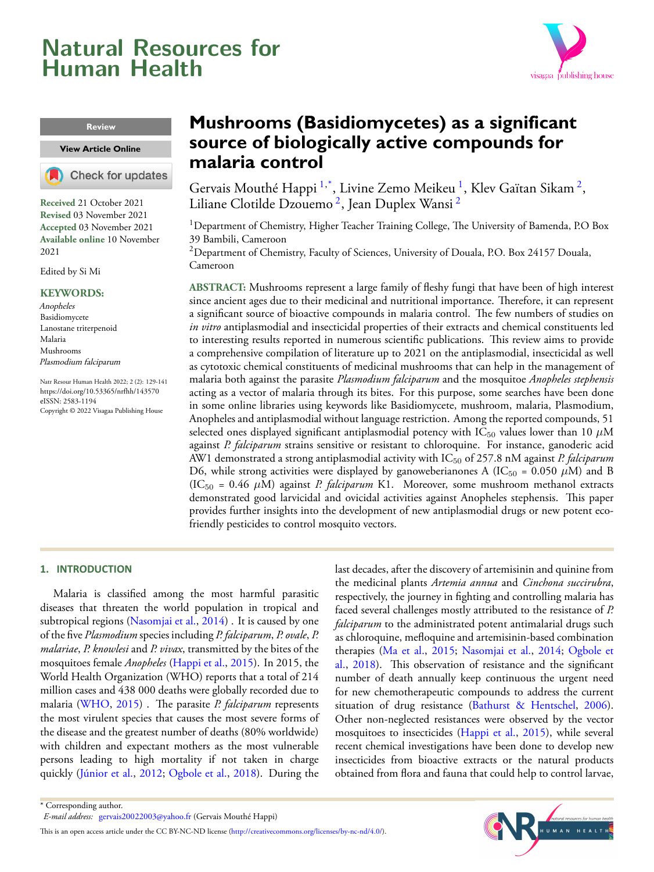# <span id="page-0-2"></span>**Natural Resources for Human Health**



### **Review**

**[View Article](https://doi.org/10.53365/nrfhh/143570) Online**

Check for updates

**Received** 21 October 2021 **Revised** 03 November 2021 **Accepted** 03 November 2021 **Available online** 10 November 2021

Edited by Si Mi

#### **KEYWORDS:**

Anopheles Basidiomycete Lanostane triterpenoid Malaria Mushrooms Plasmodium falciparum

Natr Resour Human Health 2022; 2 (2): 129-141 <https://doi.org/10.53365/nrfhh/143570> eISSN: 2583-1194 Copyright © 2022 Visagaa Publishing House

# **Mushrooms (Basidiomycetes) as a significant source of biologically active compounds for malaria control**

Gervais Mouthé Happi <sup>[1](#page-0-0),\*</sup>, Livine Zemo Meikeu <sup>1</sup>, Klev Gaïtan Sikam <sup>[2](#page-0-1)</sup>, Liliane Clotilde Dzouemo <sup>[2](#page-0-1)</sup>, Jean Duplex Wansi <sup>2</sup>

<span id="page-0-0"></span><sup>1</sup> Department of Chemistry, Higher Teacher Training College, The University of Bamenda, P.O Box 39 Bambili, Cameroon

<span id="page-0-1"></span><sup>2</sup>Department of Chemistry, Faculty of Sciences, University of Douala, P.O. Box 24157 Douala, Cameroon

**ABSTRACT:** Mushrooms represent a large family of fleshy fungi that have been of high interest since ancient ages due to their medicinal and nutritional importance. Therefore, it can represent a significant source of bioactive compounds in malaria control. The few numbers of studies on *in vitro* antiplasmodial and insecticidal properties of their extracts and chemical constituents led to interesting results reported in numerous scientific publications. This review aims to provide a comprehensive compilation of literature up to 2021 on the antiplasmodial, insecticidal as well as cytotoxic chemical constituents of medicinal mushrooms that can help in the management of malaria both against the parasite *Plasmodium falciparum* and the mosquitoe *Anopheles stephensis* acting as a vector of malaria through its bites. For this purpose, some searches have been done in some online libraries using keywords like Basidiomycete, mushroom, malaria, Plasmodium, Anopheles and antiplasmodial without language restriction. Among the reported compounds, 51 selected ones displayed significant antiplasmodial potency with  $IC_{50}$  values lower than 10  $\mu$ M against *P. falciparum* strains sensitive or resistant to chloroquine. For instance, ganoderic acid AW1 demonstrated a strong antiplasmodial activity with IC<sup>50</sup> of 257.8 nM against *P. falciparum* D6, while strong activities were displayed by ganoweberianones A (IC<sub>50</sub> = 0.050  $\mu$ M) and B (IC<sup>50</sup> = 0.46 *µ*M) against *P. falciparum* K1. Moreover, some mushroom methanol extracts demonstrated good larvicidal and ovicidal activities against Anopheles stephensis. This paper provides further insights into the development of new antiplasmodial drugs or new potent ecofriendly pesticides to control mosquito vectors.

# **1. INTRODUCTION**

Malaria is classified among the most harmful parasitic diseases that threaten the world population in tropical and subtropical regions [\(Nasomjai et al.,](#page-12-0) [2014\)](#page-12-0). It is caused by one of the five *Plasmodium* species including *P. falciparum*, *P. ovale*, *P. malariae*, *P. knowlesi* and *P. vivax*, transmitted by the bites of the mosquitoes female *Anopheles* [\(Happi et al.,](#page-11-0) [2015\)](#page-11-0). In 2015, the World Health Organization (WHO) reports that a total of 214 million cases and 438 000 deaths were globally recorded due to malaria([WHO,](#page-12-1) [2015\)](#page-12-1) . The parasite *P. falciparum* represents the most virulent species that causes the most severe forms of the disease and the greatest number of deaths (80% worldwide) with children and expectant mothers as the most vulnerable persons leading to high mortality if not taken in charge quickly([Júnior et al.](#page-12-2), [2012;](#page-12-2) [Ogbole et al.,](#page-12-3) [2018](#page-12-3)). During the

last decades, after the discovery of artemisinin and quinine from the medicinal plants *Artemia annua* and *Cinchona succirubra*, respectively, the journey in fighting and controlling malaria has faced several challenges mostly attributed to the resistance of *P. falciparum* to the administrated potent antimalarial drugs such as chloroquine, mefloquine and artemisinin-based combination therapies [\(Ma et al.,](#page-12-4) [2015](#page-12-4); [Nasomjai et al.,](#page-12-0) [2014](#page-12-0); [Ogbole et](#page-12-3) [al.,](#page-12-3) [2018](#page-12-3)). This observation of resistance and the significant number of death annually keep continuous the urgent need for new chemotherapeutic compounds to address the current situationof drug resistance ([Bathurst & Hentschel](#page-11-1), [2006\)](#page-11-1). Other non-neglected resistances were observed by the vector mosquitoes to insecticides [\(Happi et al.,](#page-11-0) [2015\)](#page-11-0), while several recent chemical investigations have been done to develop new insecticides from bioactive extracts or the natural products obtained from flora and fauna that could help to control larvae,



<sup>\*</sup> Corresponding author.

*E-mail address:* [gervais20022003@yahoo.fr](mailto:{gervais20022003@yahoo.fr} ) (Gervais Mouthé Happi)

This is an open access article under the CC BY-NC-ND license(<http://creativecommons.org/licenses/by-nc-nd/4.0/>).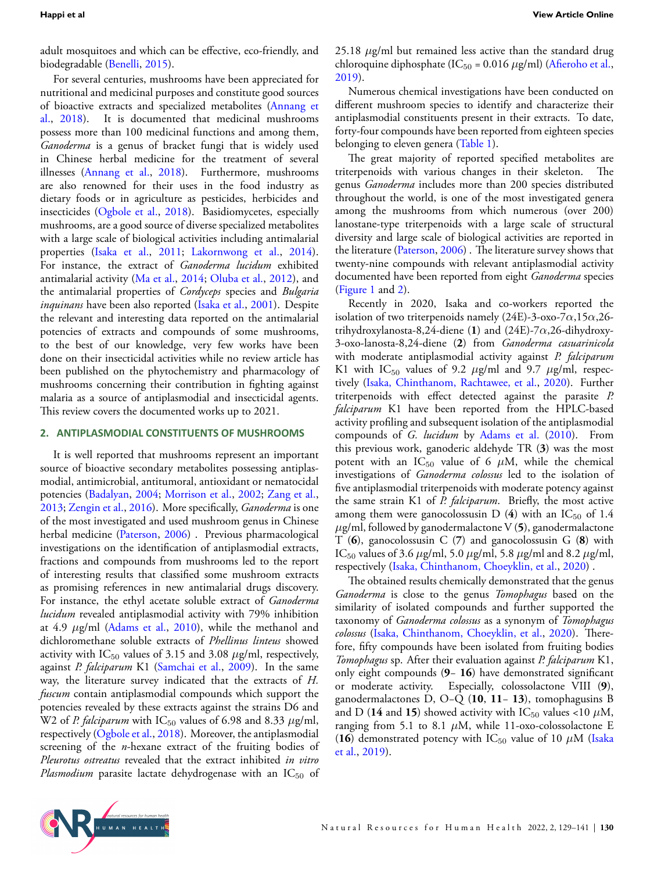adult mosquitoes and which can be effective, eco-friendly, and biodegradable([Benelli,](#page-11-2) [2015\)](#page-11-2).

For several centuries, mushrooms have been appreciated for nutritional and medicinal purposes and constitute good sources of bioactive extracts and specialized metabolites [\(Annang et](#page-11-3) [al.,](#page-11-3) [2018](#page-11-3)). It is documented that medicinal mushrooms possess more than 100 medicinal functions and among them, *Ganoderma* is a genus of bracket fungi that is widely used in Chinese herbal medicine for the treatment of several illnesses [\(Annang et al.](#page-11-3), [2018](#page-11-3)). Furthermore, mushrooms are also renowned for their uses in the food industry as dietary foods or in agriculture as pesticides, herbicides and insecticides [\(Ogbole et al.,](#page-12-3) [2018](#page-12-3)). Basidiomycetes, especially mushrooms, are a good source of diverse specialized metabolites with a large scale of biological activities including antimalarial properties [\(Isaka et al.,](#page-12-5) [2011](#page-12-5); [Lakornwong et al.,](#page-12-6) [2014](#page-12-6)). For instance, the extract of *Ganoderma lucidum* exhibited antimalarial activity([Ma et al.](#page-12-7), [2014;](#page-12-7) [Oluba et al.,](#page-12-8) [2012](#page-12-8)), and the antimalarial properties of *Cordyceps* species and *Bulgaria inquinans* have been also reported [\(Isaka et al.,](#page-12-9) [2001](#page-12-9)). Despite the relevant and interesting data reported on the antimalarial potencies of extracts and compounds of some mushrooms, to the best of our knowledge, very few works have been done on their insecticidal activities while no review article has been published on the phytochemistry and pharmacology of mushrooms concerning their contribution in fighting against malaria as a source of antiplasmodial and insecticidal agents. This review covers the documented works up to 2021.

# **2. ANTIPLASMODIAL CONSTITUENTS OF MUSHROOMS**

It is well reported that mushrooms represent an important source of bioactive secondary metabolites possessing antiplasmodial, antimicrobial, antitumoral, antioxidant or nematocidal potencies([Badalyan,](#page-11-4) [2004](#page-11-4); [Morrison et al.](#page-12-10), [2002;](#page-12-10) [Zang et al.,](#page-12-11) [2013](#page-12-11); [Zengin et al.,](#page-12-12) [2016](#page-12-12)). More specifically, *Ganoderma* is one of the most investigated and used mushroom genus in Chinese herbal medicine [\(Paterson](#page-12-13), [2006\)](#page-12-13) . Previous pharmacological investigations on the identification of antiplasmodial extracts, fractions and compounds from mushrooms led to the report of interesting results that classified some mushroom extracts as promising references in new antimalarial drugs discovery. For instance, the ethyl acetate soluble extract of *Ganoderma lucidum* revealed antiplasmodial activity with 79% inhibition at 4.9 *µ*g/ml([Adams et al.](#page-11-5), [2010](#page-11-5)), while the methanol and dichloromethane soluble extracts of *Phellinus linteus* showed activity with  $IC_{50}$  values of 3.15 and 3.08  $\mu$ g/ml, respectively, against *P. falciparum* K1 [\(Samchai et al.](#page-12-14), [2009\)](#page-12-14). In the same way, the literature survey indicated that the extracts of *H. fuscum* contain antiplasmodial compounds which support the potencies revealed by these extracts against the strains D6 and W2 of *P. falciparum* with IC<sub>50</sub> values of 6.98 and 8.33  $\mu$ g/ml, respectively [\(Ogbole et al.,](#page-12-3) [2018](#page-12-3)). Moreover, the antiplasmodial screening of the *n*-hexane extract of the fruiting bodies of *Pleurotus ostreatus* revealed that the extract inhibited *in vitro* Plasmodium parasite lactate dehydrogenase with an IC<sub>50</sub> of 25.18 *µ*g/ml but remained less active than the standard drug chloroquinediphosphate ( $IC_{50}$  = 0.016  $\mu$ g/ml) ([Afieroho et al.](#page-11-6), [2019](#page-11-6)).

Numerous chemical investigations have been conducted on different mushroom species to identify and characterize their antiplasmodial constituents present in their extracts. To date, forty-four compounds have been reported from eighteen species belonging to eleven genera (Table [1](#page-2-0)).

The great majority of reported specified metabolites are triterpenoids with various changes in their skeleton. The genus *Ganoderma* includes more than 200 species distributed throughout the world, is one of the most investigated genera among the mushrooms from which numerous (over 200) lanostane-type triterpenoids with a large scale of structural diversity and large scale of biological activities are reported in the literature([Paterson](#page-12-13), [2006\)](#page-12-13) . The literature survey shows that twenty-nine compounds with relevant antiplasmodial activity documented have been reported from eight *Ganoderma* species (Figure [1](#page-6-0) and [2](#page-7-0)).

Recently in 2020, Isaka and co-workers reported the isolation of two triterpenoids namely (24E)-3-oxo-7*α*,15*α*,26 trihydroxylanosta-8,24-diene (**1**) and (24E)-7*α*,26-dihydroxy-3-oxo-lanosta-8,24-diene (**2**) from *Ganoderma casuarinicola* with moderate antiplasmodial activity against *P. falciparum* K1 with  $IC_{50}$  values of 9.2  $\mu$ g/ml and 9.7  $\mu$ g/ml, respectively([Isaka, Chinthanom, Rachtawee, et al.,](#page-11-7) [2020](#page-11-7)). Further triterpenoids with effect detected against the parasite *P. falciparum* K1 have been reported from the HPLC-based activity profiling and subsequent isolation of the antiplasmodial compounds of *G. lucidum* by [Adams et al.](#page-11-5) ([2010](#page-11-5)). From this previous work, ganoderic aldehyde TR (**3**) was the most potent with an  $IC_{50}$  value of 6  $\mu$ M, while the chemical investigations of *Ganoderma colossus* led to the isolation of five antiplasmodial triterpenoids with moderate potency against the same strain K1 of *P. falciparum*. Briefly, the most active among them were ganocolossus in D  $(4)$  with an IC<sub>50</sub> of 1.4 *µ*g/ml, followed by ganodermalactone V (**5**), ganodermalactone T (**6**), ganocolossusin C (**7**) and ganocolossusin G (**8**) with IC<sup>50</sup> values of 3.6 *µ*g/ml, 5.0 *µ*g/ml, 5.8 *µ*g/ml and 8.2 *µ*g/ml, respectively [\(Isaka, Chinthanom, Choeyklin, et al.](#page-11-8), [2020\)](#page-11-8) .

The obtained results chemically demonstrated that the genus *Ganoderma* is close to the genus *Tomophagus* based on the similarity of isolated compounds and further supported the taxonomy of *Ganoderma colossus* as a synonym of *Tomophagus colossus* [\(Isaka, Chinthanom, Choeyklin, et al.,](#page-11-8) [2020\)](#page-11-8). Therefore, fifty compounds have been isolated from fruiting bodies *Tomophagus* sp. After their evaluation against *P. falciparum* K1, only eight compounds (**9**− **16**) have demonstrated significant or moderate activity. Especially, colossolactone VIII (**9**), ganodermalactones D, O−Q (**10**, **11**− **13**), tomophagusins B and D (14 and 15) showed activity with  $IC_{50}$  values <10  $\mu$ M, ranging from 5.1 to 8.1  $\mu$ M, while 11-oxo-colossolactone E (16)demonstrated potency with  $IC_{50}$  value of 10  $\mu$ M ([Isaka](#page-11-9) [et al.,](#page-11-9) [2019\)](#page-11-9).

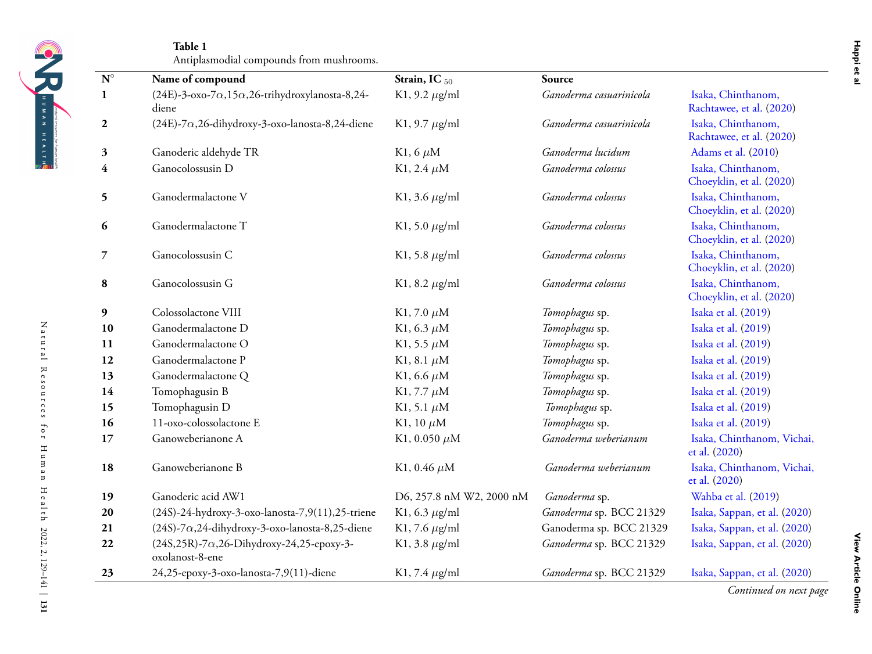<span id="page-2-0"></span>

|    | Name of compound                                                            | Strain, IC <sub>50</sub>   | Source                  |                                                |
|----|-----------------------------------------------------------------------------|----------------------------|-------------------------|------------------------------------------------|
|    | $(24E)$ -3-oxo-7 $\alpha$ ,15 $\alpha$ ,26-trihydroxylanosta-8,24-<br>diene | K1, 9.2 $\mu$ g/ml         | Ganoderma casuarinicola | Isaka, Chinthanom,<br>Rachtawee, et al. (2020) |
|    | $(24E)$ -7 $\alpha$ ,26-dihydroxy-3-oxo-lanosta-8,24-diene                  | K1, 9.7 $\mu$ g/ml         | Ganoderma casuarinicola | Isaka, Chinthanom,<br>Rachtawee, et al. (2020) |
|    | Ganoderic aldehyde TR                                                       | K <sub>1</sub> , 6 $\mu$ M | Ganoderma lucidum       | Adams et al. (2010)                            |
|    | Ganocolossusin D                                                            | K1, 2.4 $\mu$ M            | Ganoderma colossus      | Isaka, Chinthanom,<br>Choeyklin, et al. (2020) |
|    | Ganodermalactone V                                                          | K1, 3.6 $\mu$ g/ml         | Ganoderma colossus      | Isaka, Chinthanom,<br>Choeyklin, et al. (2020) |
|    | Ganodermalactone T                                                          | K1, 5.0 $\mu$ g/ml         | Ganoderma colossus      | Isaka, Chinthanom,<br>Choeyklin, et al. (2020) |
|    | Ganocolossusin C                                                            | K1, 5.8 $\mu$ g/ml         | Ganoderma colossus      | Isaka, Chinthanom,<br>Choeyklin, et al. (2020) |
|    | Ganocolossusin G                                                            | K1, 8.2 $\mu$ g/ml         | Ganoderma colossus      | Isaka, Chinthanom,<br>Choeyklin, et al. (2020) |
|    | Colossolactone VIII                                                         | K1, 7.0 $\mu$ M            | Tomophagus sp.          | Isaka et al. (2019)                            |
|    | Ganodermalactone D                                                          | K1, 6.3 $\mu$ M            | Tomophagus sp.          | Isaka et al. (2019)                            |
| 11 | Ganodermalactone O                                                          | K1, 5.5 $\mu$ M            | Tomophagus sp.          | Isaka et al. (2019)                            |
| 12 | Ganodermalactone P                                                          | K1, 8.1 $\mu$ M            | Tomophagus sp.          | Isaka et al. (2019)                            |
| 13 | Ganodermalactone Q                                                          | K1, 6.6 $\mu$ M            | Tomophagus sp.          | Isaka et al. (2019)                            |
|    | Tomophagusin B                                                              | K1, 7.7 $\mu$ M            | Tomophagus sp.          | Isaka et al. (2019)                            |
| 15 | Tomophagusin D                                                              | K1, 5.1 $\mu$ M            | Tomophagus sp.          | Isaka et al. (2019)                            |
|    | 11-oxo-colossolactone E                                                     | K1, 10 $\mu$ M             | Tomophagus sp.          | Isaka et al. (2019)                            |
| 17 | Ganoweberianone A                                                           | K1, 0.050 $\mu$ M          | Ganoderma weberianum    | Isaka, Chinthanom, Vichai,<br>et al. (2020)    |
| 18 | Ganoweberianone B                                                           | K1, 0.46 $\mu$ M           | Ganoderma weberianum    | Isaka, Chinthanom, Vichai,<br>et al. (2020)    |
| 19 | Ganoderic acid AW1                                                          | D6, 257.8 nM W2, 2000 nM   | Ganoderma sp.           | Wahba et al. (2019)                            |
|    | (24S)-24-hydroxy-3-oxo-lanosta-7,9(11),25-triene                            | K1, 6.3 $\mu$ g/ml         | Ganoderma sp. BCC 21329 | Isaka, Sappan, et al. (2020)                   |
|    | $(24S)$ -7 $\alpha$ ,24-dihydroxy-3-oxo-lanosta-8,25-diene                  | K1, 7.6 $\mu$ g/ml         | Ganoderma sp. BCC 21329 | Isaka, Sappan, et al. (2020)                   |
|    | $(24S, 25R)$ -7 $\alpha$ , 26-Dihydroxy-24, 25-epoxy-3-<br>oxolanost-8-ene  | K1, 3.8 $\mu$ g/ml         | Ganoderma sp. BCC 21329 | Isaka, Sappan, et al. (2020)                   |
| 23 | 24,25-epoxy-3-oxo-lanosta-7,9(11)-diene                                     | K1, 7.4 $\mu$ g/ml         | Ganoderma sp. BCC 21329 | Isaka, Sappan, et al. (2020)                   |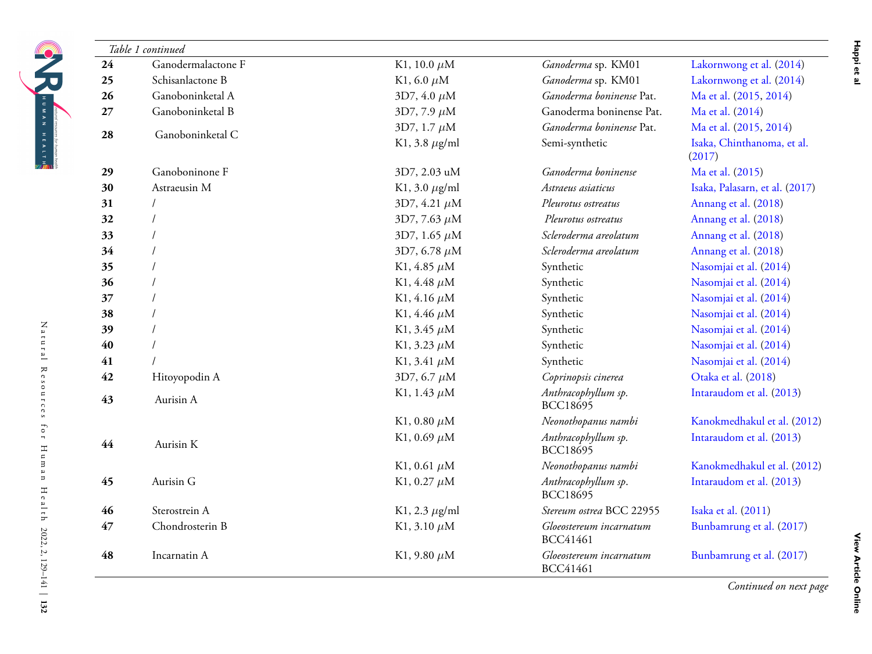| 24 | Ganodermalactone F | K1, 10.0 $\mu$ M   | Ganoderma sp. KM01                         | Lakornwong et al. (2014)             |
|----|--------------------|--------------------|--------------------------------------------|--------------------------------------|
| 25 | Schisanlactone B   | K1, 6.0 $\mu$ M    | Ganoderma sp. KM01                         | Lakornwong et al. (2014)             |
| 26 | Ganoboninketal A   | $3D7, 4.0 \,\mu M$ | Ganoderma boninense Pat.                   | Ma et al. (2015, 2014)               |
| 27 | Ganoboninketal B   | 3D7, 7.9 $\mu$ M   | Ganoderma boninense Pat.                   | Ma et al. (2014)                     |
| 28 | Ganoboninketal C   | 3D7, 1.7 $\mu$ M   | Ganoderma boninense Pat.                   | Ma et al. (2015, 2014)               |
|    |                    | K1, 3.8 $\mu$ g/ml | Semi-synthetic                             | Isaka, Chinthanoma, et al.<br>(2017) |
| 29 | Ganoboninone F     | 3D7, 2.03 uM       | Ganoderma boninense                        | Ma et al. (2015)                     |
| 30 | Astraeusin M       | K1, 3.0 $\mu$ g/ml | Astraeus asiaticus                         | Isaka, Palasarn, et al. (2017)       |
| 31 |                    | 3D7, 4.21 $\mu$ M  | Pleurotus ostreatus                        | Annang et al. (2018)                 |
| 32 |                    | 3D7, 7.63 $\mu$ M  | Pleurotus ostreatus                        | Annang et al. (2018)                 |
| 33 |                    | 3D7, 1.65 $\mu$ M  | Scleroderma areolatum                      | Annang et al. (2018)                 |
| 34 |                    | 3D7, 6.78 $\mu$ M  | Scleroderma areolatum                      | Annang et al. (2018)                 |
| 35 |                    | K1, 4.85 $\mu$ M   | Synthetic                                  | Nasomjai et al. (2014)               |
| 36 |                    | K1, 4.48 $\mu$ M   | Synthetic                                  | Nasomjai et al. (2014)               |
| 37 |                    | K1, 4.16 $\mu$ M   | Synthetic                                  | Nasomjai et al. (2014)               |
| 38 |                    | K1, 4.46 $\mu$ M   | Synthetic                                  | Nasomjai et al. (2014)               |
| 39 |                    | K1, 3.45 $\mu$ M   | Synthetic                                  | Nasomjai et al. (2014)               |
| 40 |                    | K1, 3.23 $\mu$ M   | Synthetic                                  | Nasomjai et al. (2014)               |
| 41 |                    | K1, 3.41 $\mu$ M   | Synthetic                                  | Nasomjai et al. (2014)               |
| 42 | Hitoyopodin A      | 3D7, 6.7 $\mu$ M   | Coprinopsis cinerea                        | Otaka et al. (2018)                  |
| 43 | Aurisin A          | K1, 1.43 $\mu$ M   | Anthracophyllum sp.<br><b>BCC18695</b>     | Intaraudom et al. (2013)             |
|    |                    | K1, 0.80 $\mu$ M   | Neonothopanus nambi                        | Kanokmedhakul et al. (2012)          |
| 44 | Aurisin K          | K1, 0.69 $\mu$ M   | Anthracophyllum sp.<br>BCC18695            | Intaraudom et al. (2013)             |
|    |                    | K1, 0.61 $\mu$ M   | Neonothopanus nambi                        | Kanokmedhakul et al. (2012)          |
| 45 | Aurisin G          | K1, 0.27 $\mu$ M   | Anthracophyllum sp.<br><b>BCC18695</b>     | Intaraudom et al. (2013)             |
| 46 | Sterostrein A      | K1, 2.3 $\mu$ g/ml | Stereum ostrea BCC 22955                   | Isaka et al. (2011)                  |
| 47 | Chondrosterin B    | K1, 3.10 $\mu$ M   | Gloeostereum incarnatum<br><b>BCC41461</b> | Bunbamrung et al. (2017)             |
| 48 | Incarnatin A       | K1, 9.80 $\mu$ M   | Gloeostereum incarnatum<br><b>BCC41461</b> | Bunbamrung et al. (2017)             |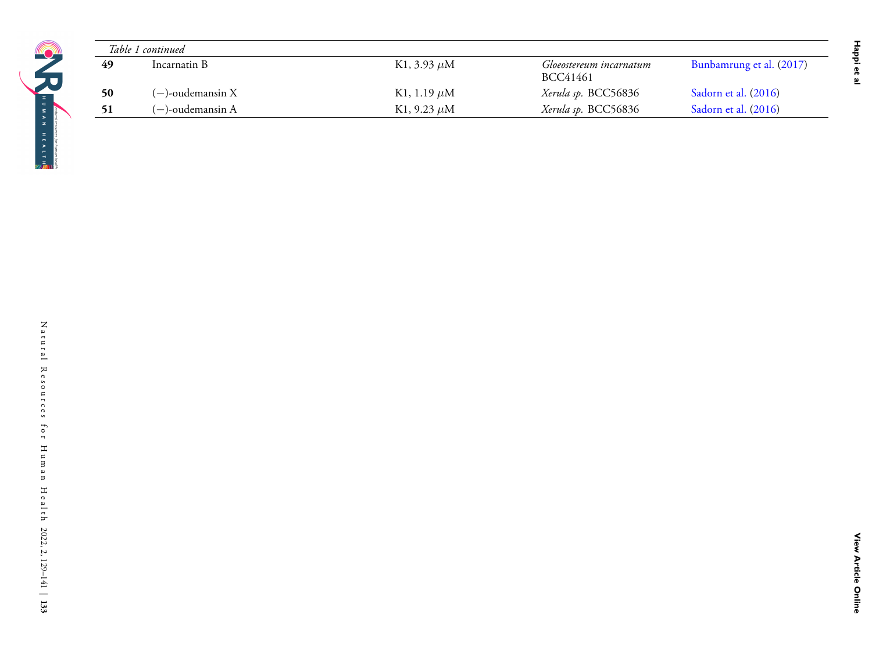|                 | Table 1 continued   |                       |                                     |                          |
|-----------------|---------------------|-----------------------|-------------------------------------|--------------------------|
| $\overline{49}$ | Incarnatin B        | K1, 3.93 $\mu$ M      | Gloeostereum incarnatum<br>BCC41461 | Bunbamrung et al. (2017) |
| 50              | $(-)$ -oudemansin X | K1, 1.19 $\mu$ M      | Xerula sp. BCC56836                 | Sadorn et al. (2016)     |
| 51              | $(-)$ -oudemansin A | K1, 9.23 $\mu{\rm M}$ | Xerula sp. BCC56836                 | Sadorn et al. (2016)     |
|                 |                     |                       |                                     |                          |
|                 |                     |                       |                                     |                          |
|                 |                     |                       |                                     |                          |
|                 |                     |                       |                                     |                          |
|                 |                     |                       |                                     |                          |
|                 |                     |                       |                                     |                          |
|                 |                     |                       |                                     |                          |
|                 |                     |                       |                                     |                          |
|                 |                     |                       |                                     |                          |
|                 |                     |                       |                                     |                          |
|                 |                     |                       |                                     |                          |
|                 |                     |                       |                                     |                          |
|                 |                     |                       |                                     |                          |
|                 |                     |                       |                                     |                          |
|                 |                     |                       |                                     |                          |
|                 |                     |                       |                                     |                          |
|                 |                     |                       |                                     |                          |
|                 |                     |                       |                                     |                          |
|                 |                     |                       |                                     |                          |
|                 |                     |                       |                                     |                          |
|                 |                     |                       |                                     |                          |
|                 |                     |                       |                                     |                          |
|                 |                     |                       |                                     |                          |
|                 |                     |                       |                                     |                          |
|                 |                     |                       |                                     |                          |
|                 |                     |                       |                                     |                          |
|                 |                     |                       |                                     |                          |
|                 |                     |                       |                                     |                          |
|                 |                     |                       |                                     |                          |
|                 |                     |                       |                                     |                          |
|                 |                     |                       |                                     |                          |
|                 |                     |                       |                                     |                          |
|                 |                     |                       |                                     |                          |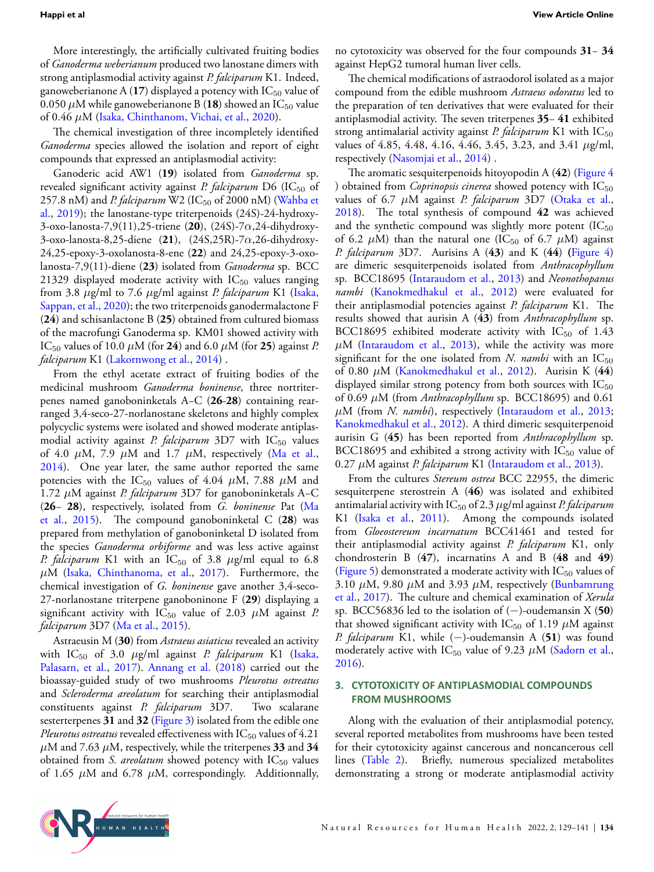More interestingly, the artificially cultivated fruiting bodies of *Ganoderma weberianum* produced two lanostane dimers with strong antiplasmodial activity against *P. falciparum* K1. Indeed, ganoweberianone A  $(17)$  displayed a potency with  $\mathrm{IC}_{50}$  value of 0.050  $\mu$ M while ganoweberianone B (18) showed an IC<sub>50</sub> value of 0.46 *µ*M [\(Isaka, Chinthanom, Vichai, et al.](#page-11-19), [2020](#page-11-19)).

The chemical investigation of three incompletely identified *Ganoderma* species allowed the isolation and report of eight compounds that expressed an antiplasmodial activity:

Ganoderic acid AW1 (**19**) isolated from *Ganoderma* sp. revealed significant activity against *P. falciparum* D6 (IC<sub>50</sub> of 257.8nM) and *P. falciparum* W2 (IC<sub>50</sub> of 2000 nM) ([Wahba et](#page-12-26) [al.,](#page-12-26) [2019\)](#page-12-26); the lanostane-type triterpenoids (24S)-24-hydroxy-3-oxo-lanosta-7,9(11),25-triene (**20**), (24S)-7*α*,24-dihydroxy-3-oxo-lanosta-8,25-diene (**21**), (24S,25R)-7*α*,26-dihydroxy-24,25-epoxy-3-oxolanosta-8-ene (**22**) and 24,25-epoxy-3-oxolanosta-7,9(11)-diene (**23**) isolated from *Ganoderma* sp. BCC 21329 displayed moderate activity with  $IC_{50}$  values ranging from 3.8 *µ*g/ml to 7.6 *µ*g/ml against *P. falciparum* K1 [\(Isaka,](#page-12-27) [Sappan, et al.,](#page-12-27) [2020](#page-12-27)); the two triterpenoids ganodermalactone F (**24**) and schisanlactone B (**25**) obtained from cultured biomass of the macrofungi Ganoderma sp. KM01 showed activity with IC<sub>50</sub> values of 10.0  $\mu$ M (for **24**) and 6.0  $\mu$ M (for **25**) against *P*. *falciparum* K1([Lakornwong et al.,](#page-12-6) [2014](#page-12-6)) .

From the ethyl acetate extract of fruiting bodies of the medicinal mushroom *Ganoderma boninense*, three nortriterpenes named ganoboninketals A−C (**26**-**28**) containing rearranged 3,4-seco-27-norlanostane skeletons and highly complex polycyclic systems were isolated and showed moderate antiplasmodial activity against *P. falciparum* 3D7 with IC<sub>50</sub> values of 4.0 *µ*M, 7.9 *µ*M and 1.7 *µ*M, respectively [\(Ma et al.,](#page-12-7) [2014](#page-12-7)). One year later, the same author reported the same potencies with the IC<sub>50</sub> values of 4.04  $\mu$ M, 7.88  $\mu$ M and 1.72 *µ*M against *P. falciparum* 3D7 for ganoboninketals A−C (**26**− **28**), respectively, isolated from *G. boninense* Pat([Ma](#page-12-4) [et al.](#page-12-4), [2015\)](#page-12-4). The compound ganoboninketal C (**28**) was prepared from methylation of ganoboninketal D isolated from the species *Ganoderma orbiforme* and was less active against *P. falciparum* K1 with an  $IC_{50}$  of 3.8  $\mu$ g/ml equal to 6.8 *µ*M([Isaka, Chinthanoma, et al.](#page-11-20), [2017\)](#page-11-20). Furthermore, the chemical investigation of *G. boninense* gave another 3,4-seco-27-norlanostane triterpene ganoboninone F (**29**) displaying a significant activity with  $IC_{50}$  value of 2.03  $\mu$ M against *P*. *falciparum* 3D7([Ma et al.,](#page-12-4) [2015\)](#page-12-4).

Astraeusin M (**30**) from *Astraeus asiaticus* revealed an activity with IC<sup>50</sup> of 3.0 *µ*g/ml against *P. falciparum* K1 [\(Isaka,](#page-12-28) [Palasarn, et al.](#page-12-28), [2017\)](#page-12-28). [Annang et al.](#page-11-3) ([2018](#page-11-3)) carried out the bioassay-guided study of two mushrooms *Pleurotus ostreatus* and *Scleroderma areolatum* for searching their antiplasmodial constituents against *P. falciparum* 3D7. Two scalarane sesterterpenes **31** and **32** (Figure [3\)](#page-7-1) isolated from the edible one *Pleurotus ostreatus* revealed effectiveness with  $IC_{50}$  values of 4.21  $\mu$ M and 7.63  $\mu$ M, respectively, while the triterpenes **33** and **34** obtained from *S. areolatum* showed potency with IC<sub>50</sub> values of 1.65 *µ*M and 6.78 *µ*M, correspondingly. Additionnally,

no cytotoxicity was observed for the four compounds **31**− **34** against HepG2 tumoral human liver cells.

The chemical modifications of astraodorol isolated as a major compound from the edible mushroom *Astraeus odoratus* led to the preparation of ten derivatives that were evaluated for their antiplasmodial activity. The seven triterpenes **35**− **41** exhibited strong antimalarial activity against *P. falciparum* K1 with  $IC_{50}$ values of 4.85, 4.48, 4.16, 4.46, 3.45, 3.23, and 3.41 *µ*g/ml, respectively [\(Nasomjai et al.,](#page-12-0) [2014\)](#page-12-0) .

The aromatic sesquiterpenoids hitoyopodin A (**42**) (Figure [4](#page-7-2) ) obtained from *Coprinopsis cinerea* showed potency with  $IC_{50}$ values of 6.7 *µ*M against *P. falciparum* 3D7([Otaka et al.](#page-12-29), [2018](#page-12-29)). The total synthesis of compound **42** was achieved and the synthetic compound was slightly more potent  $(IC_{50}$ of 6.2  $\mu$ M) than the natural one (IC<sub>50</sub> of 6.7  $\mu$ M) against *P. falciparum* 3D7. Aurisins A (**43**) and K (**44**) **(**Figure [4\)](#page-7-2) are dimeric sesquiterpenoids isolated from *Anthracophyllum* sp. BCC18695([Intaraudom et al.](#page-11-21), [2013](#page-11-21)) and *Neonothopanus nambi* ([Kanokmedhakul et al.,](#page-12-30) [2012\)](#page-12-30) were evaluated for their antiplasmodial potencies against *P. falciparum* K1. The results showed that aurisin A (**43**) from *Anthracophyllum* sp. BCC18695 exhibited moderate activity with  $IC_{50}$  of 1.43  $\mu$ M [\(Intaraudom et al.,](#page-11-21) [2013\)](#page-11-21), while the activity was more significant for the one isolated from *N. nambi* with an  $IC_{50}$ of 0.80 *µ*M [\(Kanokmedhakul et al.](#page-12-30), [2012\)](#page-12-30). Aurisin K (**44**) displayed similar strong potency from both sources with  $IC_{50}$ of 0.69 *µ*M (from *Anthracophyllum* sp. BCC18695) and 0.61 *µ*M (from *N. nambi*), respectively([Intaraudom et al.,](#page-11-21) [2013](#page-11-21); [Kanokmedhakul et al.,](#page-12-30) [2012\)](#page-12-30). A third dimeric sesquiterpenoid aurisin G (**45**) has been reported from *Anthracophyllum* sp. BCC18695 and exhibited a strong activity with  $IC_{50}$  value of 0.27 *µ*M against *P. falciparum* K1([Intaraudom et al.,](#page-11-21) [2013\)](#page-11-21).

From the cultures *Stereum ostrea* BCC 22955, the dimeric sesquiterpene sterostrein A (**46**) was isolated and exhibited antimalarial activity with IC<sup>50</sup> of 2.3 *µ*g/ml against *P. falciparum* K1 [\(Isaka et al.](#page-12-5), [2011](#page-12-5)). Among the compounds isolated from *Gloeostereum incarnatum* BCC41461 and tested for their antiplasmodial activity against *P. falciparum* K1, only chondrosterin B (**47**), incarnatins A and B (**48** and **49**) (Figure [5](#page-7-3)) demonstrated a moderate activity with  $IC_{50}$  values of 3.10  $\mu$ M, 9.80  $\mu$ M and 3.93  $\mu$ M, respectively [\(Bunbamrung](#page-11-22) [et al.](#page-11-22), [2017\)](#page-11-22). The culture and chemical examination of *Xerula* sp. BCC56836 led to the isolation of (*−*)-oudemansin X (**50**) that showed significant activity with IC<sub>50</sub> of 1.19  $\mu$ M against *P. falciparum* K1, while (*−*)-oudemansin A (**51**) was found moderately active with  $IC_{50}$  value of 9.23  $\mu$ M [\(Sadorn et al.](#page-12-31), [2016](#page-12-31)).

# **3. CYTOTOXICITY OF ANTIPLASMODIAL COMPOUNDS FROM MUSHROOMS**

Along with the evaluation of their antiplasmodial potency, several reported metabolites from mushrooms have been tested for their cytotoxicity against cancerous and noncancerous cell lines (Table [2](#page-8-0)). Briefly, numerous specialized metabolites demonstrating a strong or moderate antiplasmodial activity

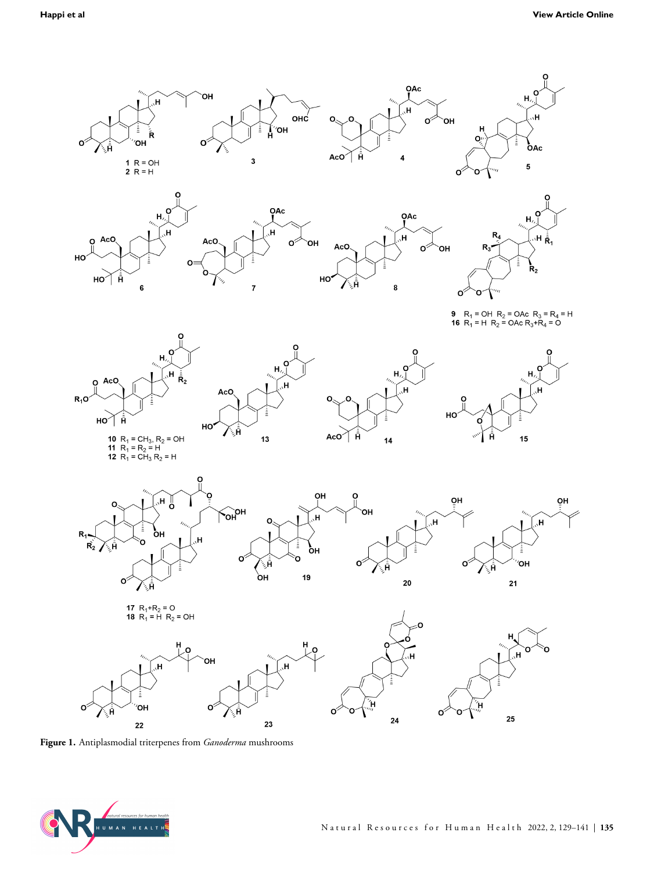<span id="page-6-0"></span>

**Figure 1.** Antiplasmodial triterpenes from *Ganoderma* mushrooms

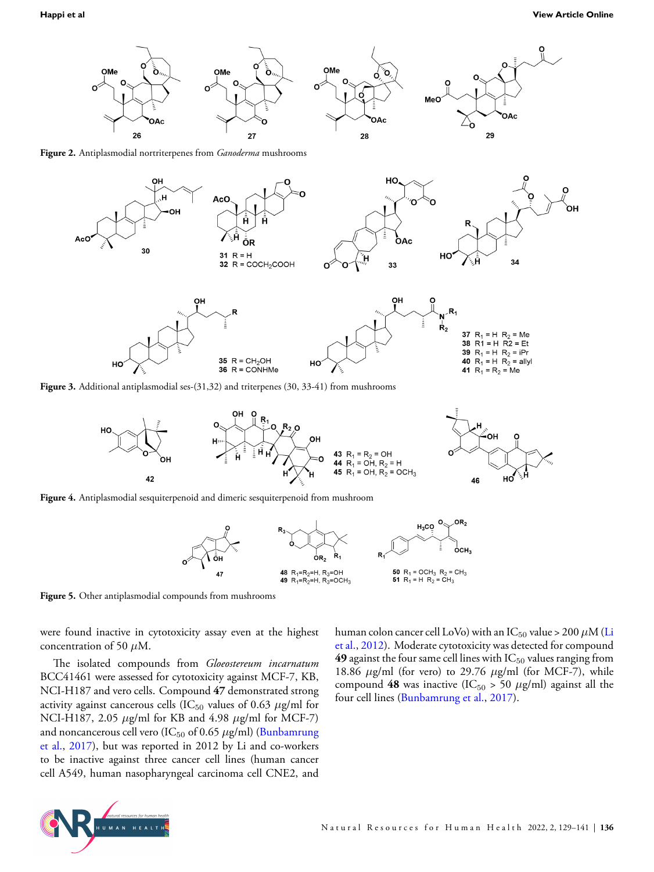<span id="page-7-1"></span><span id="page-7-0"></span>



<span id="page-7-2"></span>**Figure 3.** Additional antiplasmodial ses-(31,32) and triterpenes (30, 33-41) from mushrooms



<span id="page-7-3"></span>



**Figure 5.** Other antiplasmodial compounds from mushrooms

were found inactive in cytotoxicity assay even at the highest concentration of 50 *µ*M.

The isolated compounds from *Gloeostereum incarnatum* BCC41461 were assessed for cytotoxicity against MCF-7, KB, NCI-H187 and vero cells. Compound **47** demonstrated strong activity against cancerous cells (IC $_{50}$  values of 0.63  $\mu$ g/ml for NCI-H187, 2.05 *µ*g/ml for KB and 4.98 *µ*g/ml for MCF-7) and noncancerous cell vero (IC<sub>50</sub> of 0.65  $\mu$ g/ml) [\(Bunbamrung](#page-11-22) [et al.,](#page-11-22) [2017\)](#page-11-22), but was reported in 2012 by Li and co-workers to be inactive against three cancer cell lines (human cancer cell A549, human nasopharyngeal carcinoma cell CNE2, and human colon cancer cell LoVo) with an  $IC_{50}$  value > 200  $\mu$ M [\(Li](#page-12-32) [et al.](#page-12-32), [2012\)](#page-12-32). Moderate cytotoxicity was detected for compound **49** against the four same cell lines with  $IC_{50}$  values ranging from 18.86 *µ*g/ml (for vero) to 29.76 *µ*g/ml (for MCF-7), while compound 48 was inactive (IC<sub>50</sub> > 50  $\mu$ g/ml) against all the four cell lines [\(Bunbamrung et al.,](#page-11-22) [2017](#page-11-22)).

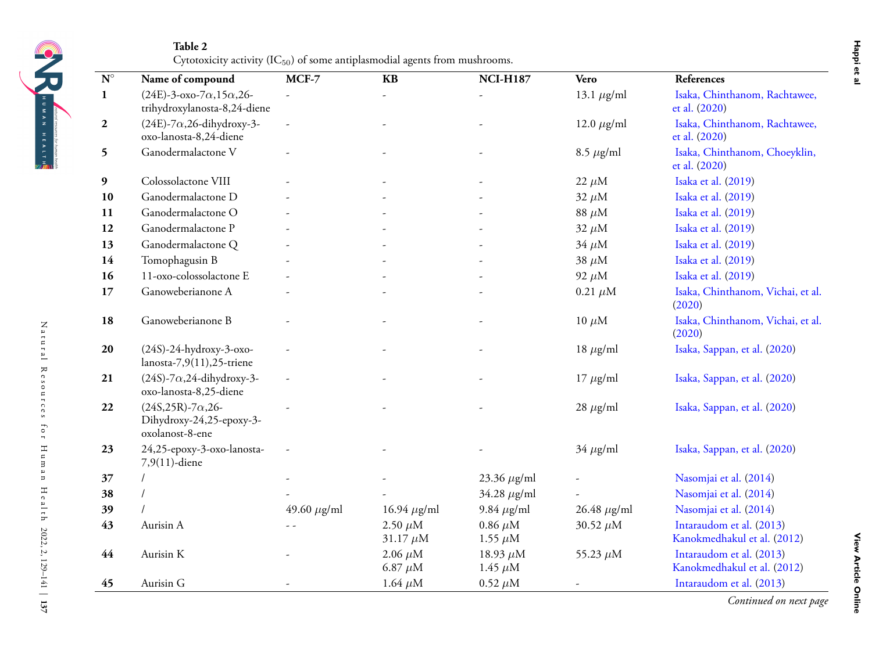<span id="page-8-0"></span>

| H I N Y N Z |                                    |
|-------------|------------------------------------|
|             |                                    |
|             |                                    |
|             | natural resources for human health |
|             |                                    |
| H E A L T H |                                    |
|             |                                    |
|             |                                    |
|             |                                    |
|             |                                    |

**MCF-7 KB**

|          | nahdan ar an |
|----------|--------------|
| chtawee, |              |
| chtawee, |              |
| oeyklin, |              |

| $\mathbf{N}^\circ$ | Name of compound                                                            | $MCF-7$                  | <b>KB</b>                      | <b>NCI-H187</b>                | Vero               | References                                              |
|--------------------|-----------------------------------------------------------------------------|--------------------------|--------------------------------|--------------------------------|--------------------|---------------------------------------------------------|
| 1                  | $(24E)$ -3-oxo-7 $\alpha$ ,15 $\alpha$ ,26-<br>trihydroxylanosta-8,24-diene | $\overline{\phantom{a}}$ |                                |                                | 13.1 $\mu$ g/ml    | Isaka, Chinthanom, Rachtawee,<br>et al. (2020)          |
|                    | $(24E)$ -7 $\alpha$ ,26-dihydroxy-3-<br>oxo-lanosta-8,24-diene              |                          |                                |                                | 12.0 $\mu$ g/ml    | Isaka, Chinthanom, Rachtawee,<br>et al. (2020)          |
|                    | Ganodermalactone V                                                          |                          |                                |                                | 8.5 $\mu$ g/ml     | Isaka, Chinthanom, Choeyklin,<br>et al. (2020)          |
| 9                  | Colossolactone VIII                                                         |                          |                                |                                | $22 \mu M$         | Isaka et al. (2019)                                     |
| 10                 | Ganodermalactone D                                                          |                          |                                |                                | $32 \mu M$         | Isaka et al. (2019)                                     |
| 11                 | Ganodermalactone O                                                          |                          |                                |                                | 88 $\mu$ M         | Isaka et al. (2019)                                     |
| 12                 | Ganodermalactone P                                                          |                          |                                |                                | $32 \mu M$         | Isaka et al. (2019)                                     |
| 13                 | Ganodermalactone Q                                                          |                          |                                |                                | $34 \mu M$         | Isaka et al. (2019)                                     |
| 14                 | Tomophagusin B                                                              |                          |                                |                                | $38 \mu M$         | Isaka et al. (2019)                                     |
| 16                 | 11-oxo-colossolactone E                                                     |                          |                                |                                | 92 $\mu$ M         | Isaka et al. (2019)                                     |
|                    | Ganoweberianone A                                                           |                          |                                |                                | $0.21 \mu M$       | Isaka, Chinthanom, Vichai, et al.<br>(2020)             |
| 18                 | Ganoweberianone B                                                           |                          |                                |                                | $10 \mu M$         | Isaka, Chinthanom, Vichai, et al.<br>(2020)             |
| 20                 | $(24S)$ -24-hydroxy-3-oxo-<br>lanosta-7,9 $(11)$ ,25-triene                 |                          |                                |                                | $18 \mu g/ml$      | Isaka, Sappan, et al. (2020)                            |
| 21                 | $(24S)$ -7 $\alpha$ ,24-dihydroxy-3-<br>oxo-lanosta-8,25-diene              |                          |                                |                                | $17 \mu g/ml$      | Isaka, Sappan, et al. (2020)                            |
| 22                 | $(24S, 25R) - 7\alpha, 26$<br>Dihydroxy-24,25-epoxy-3-<br>oxolanost-8-ene   |                          |                                |                                | $28 \mu g/ml$      | Isaka, Sappan, et al. (2020)                            |
| 23                 | 24,25-epoxy-3-oxo-lanosta-<br>7,9(11)-diene                                 |                          |                                |                                | $34 \mu g/ml$      | Isaka, Sappan, et al. (2020)                            |
| 37                 |                                                                             |                          |                                | 23.36 $\mu$ g/ml               |                    | Nasomjai et al. (2014)                                  |
|                    |                                                                             |                          |                                | 34.28 $\mu$ g/ml               |                    | Nasomjai et al. (2014)                                  |
|                    |                                                                             | 49.60 $\mu$ g/ml         | 16.94 $\mu$ g/ml               | $9.84 \mu g/ml$                | $26.48 \ \mu g/ml$ | Nasomjai et al. (2014)                                  |
|                    | Aurisin A                                                                   |                          | 2.50 $\mu$ M<br>31.17 $\mu$ M  | $0.86 \ \mu M$<br>1.55 $\mu$ M | 30.52 $\mu$ M      | Intaraudom et al. (2013)<br>Kanokmedhakul et al. (2012) |
| 44                 | Aurisin K                                                                   |                          | $2.06 \ \mu M$<br>6.87 $\mu$ M | 18.93 $\mu$ M<br>1.45 $\mu$ M  | 55.23 $\mu$ M      | Intaraudom et al. (2013)<br>Kanokmedhakul et al. (2012) |
| 45                 | Aurisin G                                                                   |                          | 1.64 $\mu$ M                   | $0.52 \ \mu M$                 |                    | Intaraudom et al. (2013)                                |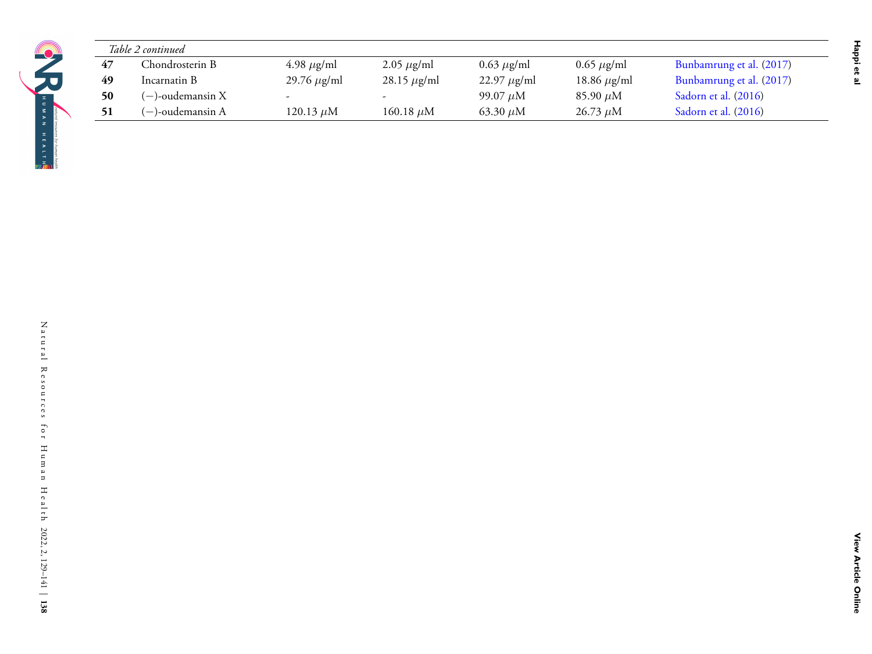| HUMAN  |                                    |
|--------|------------------------------------|
|        |                                    |
|        |                                    |
|        |                                    |
| HEALTH |                                    |
|        |                                    |
|        |                                    |
|        |                                    |
|        | natural resources for human health |
|        |                                    |

|    | Table 2 continued   |                            |                         |                            |                                           |                          |
|----|---------------------|----------------------------|-------------------------|----------------------------|-------------------------------------------|--------------------------|
| 47 | Chondrosterin B     | $4.98~\mu{\rm g}/{\rm ml}$ | $2.05 \ \mu\text{g/ml}$ | $0.63~\mu{\rm g}/{\rm ml}$ | $\overline{0.65 \ \mu\text{g}}/\text{ml}$ | Bunbamrung et al. (2017) |
| 49 | Incarnatin B        | 29.76 $\mu$ g/ml           | 28.15 $\mu$ g/ml        | 22.97 $\mu$ g/ml           | 18.86 $\mu\text{g/ml}$                    | Bunbamrung et al. (2017) |
| 50 | $(-)$ -oudemansin X |                            |                         | 99.07 $\mu{\rm M}$         | 85.90 $\mu{\rm M}$                        | Sadorn et al. (2016)     |
| 51 | $(-)$ -oudemansin A | 120.13 $\mu{\rm M}$        | 160.18 $\mu{\rm M}$     | 63.30 $\mu{\rm M}$         | 26.73 $\mu{\rm M}$                        | Sadorn et al. (2016)     |
|    |                     |                            |                         |                            |                                           |                          |
|    |                     |                            |                         |                            |                                           |                          |
|    |                     |                            |                         |                            |                                           |                          |
|    |                     |                            |                         |                            |                                           |                          |
|    |                     |                            |                         |                            |                                           |                          |
|    |                     |                            |                         |                            |                                           |                          |
|    |                     |                            |                         |                            |                                           |                          |
|    |                     |                            |                         |                            |                                           |                          |
|    |                     |                            |                         |                            |                                           |                          |
|    |                     |                            |                         |                            |                                           |                          |
|    |                     |                            |                         |                            |                                           |                          |
|    |                     |                            |                         |                            |                                           |                          |
|    |                     |                            |                         |                            |                                           |                          |
|    |                     |                            |                         |                            |                                           |                          |
|    |                     |                            |                         |                            |                                           |                          |
|    |                     |                            |                         |                            |                                           |                          |
|    |                     |                            |                         |                            |                                           |                          |
|    |                     |                            |                         |                            |                                           |                          |
|    |                     |                            |                         |                            |                                           |                          |
|    |                     |                            |                         |                            |                                           |                          |
|    |                     |                            |                         |                            |                                           |                          |
|    |                     |                            |                         |                            |                                           |                          |
|    |                     |                            |                         |                            |                                           |                          |
|    |                     |                            |                         |                            |                                           |                          |
|    |                     |                            |                         |                            |                                           |                          |
|    |                     |                            |                         |                            |                                           |                          |
|    |                     |                            |                         |                            |                                           |                          |
|    |                     |                            |                         |                            |                                           |                          |
|    |                     |                            |                         |                            |                                           |                          |
|    |                     |                            |                         |                            |                                           |                          |
|    |                     |                            |                         |                            |                                           |                          |
|    |                     |                            |                         |                            |                                           |                          |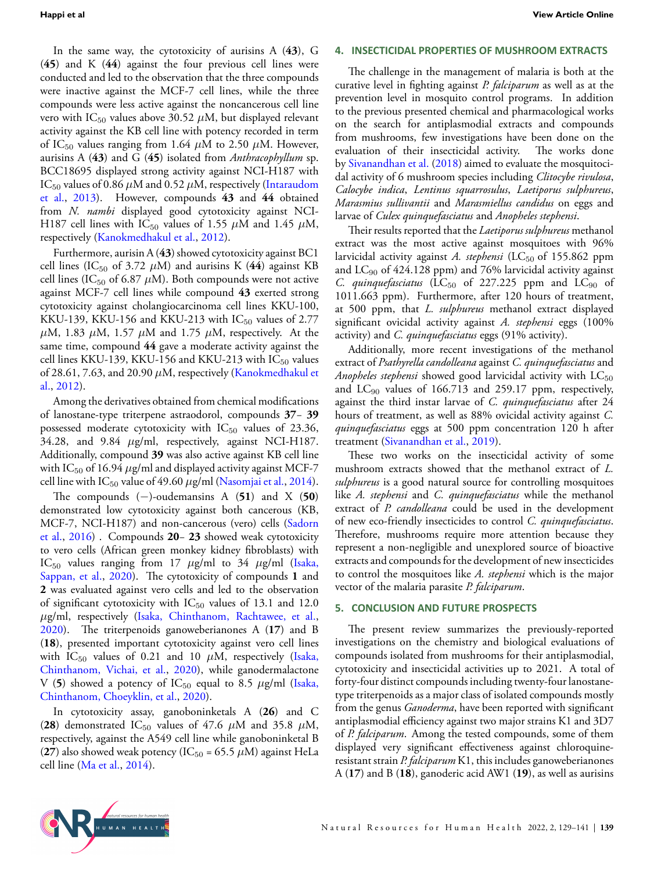In the same way, the cytotoxicity of aurisins A (**43**), G (**45**) and K (**44**) against the four previous cell lines were conducted and led to the observation that the three compounds were inactive against the MCF-7 cell lines, while the three compounds were less active against the noncancerous cell line vero with  $IC_{50}$  values above 30.52  $\mu$ M, but displayed relevant activity against the KB cell line with potency recorded in term of IC<sub>50</sub> values ranging from 1.64  $\mu$ M to 2.50  $\mu$ M. However, aurisins A (**43**) and G (**45**) isolated from *Anthracophyllum* sp. BCC18695 displayed strong activity against NCI-H187 with IC<sub>50</sub> values of 0.86  $\mu$ M and 0.52  $\mu$ M, respectively [\(Intaraudom](#page-11-21) [et al.,](#page-11-21) [2013\)](#page-11-21). However, compounds **43** and **44** obtained from *N. nambi* displayed good cytotoxicity against NCI-H187 cell lines with IC<sub>50</sub> values of 1.55  $\mu$ M and 1.45  $\mu$ M, respectively([Kanokmedhakul et al.,](#page-12-30) [2012](#page-12-30)).

Furthermore, aurisin A (**43**) showed cytotoxicity against BC1 cell lines (IC<sub>50</sub> of 3.72  $\mu$ M) and aurisins K (44) against KB cell lines (IC<sub>50</sub> of 6.87  $\mu$ M). Both compounds were not active against MCF-7 cell lines while compound **43** exerted strong cytotoxicity against cholangiocarcinoma cell lines KKU-100, KKU-139, KKU-156 and KKU-213 with  $IC_{50}$  values of 2.77  $\mu$ M, 1.83  $\mu$ M, 1.57  $\mu$ M and 1.75  $\mu$ M, respectively. At the same time, compound **44** gave a moderate activity against the cell lines KKU-139, KKU-156 and KKU-213 with  $IC_{50}$  values of 28.61, 7.63, and 20.90 *µ*M, respectively([Kanokmedhakul et](#page-12-30) [al.,](#page-12-30) [2012](#page-12-30)).

Among the derivatives obtained from chemical modifications of lanostane-type triterpene astraodorol, compounds **37**− **39** possessed moderate cytotoxicity with  $IC_{50}$  values of 23.36, 34.28, and 9.84 *µ*g/ml, respectively, against NCI-H187. Additionally, compound **39** was also active against KB cell line with IC<sub>50</sub> of 16.94  $\mu$ g/ml and displayed activity against MCF-7 cellline with  $IC_{50}$  value of 49.60  $\mu$ g/ml ([Nasomjai et al.,](#page-12-0) [2014](#page-12-0)).

The compounds (*−*)-oudemansins A (**51**) and X (**50**) demonstrated low cytotoxicity against both cancerous (KB, MCF-7, NCI-H187) and non-cancerous (vero) cells([Sadorn](#page-12-31) [et al.,](#page-12-31) [2016\)](#page-12-31) . Compounds **20**− **23** showed weak cytotoxicity to vero cells (African green monkey kidney fibroblasts) with IC<sup>50</sup> values ranging from 17 *µ*g/ml to 34 *µ*g/ml [\(Isaka,](#page-12-27) [Sappan, et al.,](#page-12-27) [2020](#page-12-27)). The cytotoxicity of compounds **1** and **2** was evaluated against vero cells and led to the observation of significant cytotoxicity with  $IC_{50}$  values of 13.1 and 12.0 *µ*g/ml, respectively [\(Isaka, Chinthanom, Rachtawee, et al.,](#page-11-7) [2020](#page-11-7)). The triterpenoids ganoweberianones A (**17**) and B (**18**), presented important cytotoxicity against vero cell lines with  $IC_{50}$  values of 0.21 and 10  $\mu$ M, respectively [\(Isaka,](#page-11-19) [Chinthanom, Vichai, et al.](#page-11-19), [2020](#page-11-19)), while ganodermalactone V (5) showed a potency of  $IC_{50}$  equal to 8.5  $\mu$ g/ml [\(Isaka,](#page-11-8) [Chinthanom, Choeyklin, et al.](#page-11-8), [2020](#page-11-8)).

In cytotoxicity assay, ganoboninketals A (**26**) and C (28) demonstrated IC<sub>50</sub> values of 47.6  $\mu$ M and 35.8  $\mu$ M, respectively, against the A549 cell line while ganoboninketal B (27) also showed weak potency ( $IC_{50} = 65.5 \ \mu M$ ) against HeLa cell line([Ma et al.](#page-12-7), [2014](#page-12-7)).

#### **4. INSECTICIDAL PROPERTIES OF MUSHROOM EXTRACTS**

The challenge in the management of malaria is both at the curative level in fighting against *P. falciparum* as well as at the prevention level in mosquito control programs. In addition to the previous presented chemical and pharmacological works on the search for antiplasmodial extracts and compounds from mushrooms, few investigations have been done on the evaluation of their insecticidal activity. The works done by [Sivanandhan et al.](#page-12-33) [\(2018](#page-12-33)) aimed to evaluate the mosquitocidal activity of 6 mushroom species including *Clitocybe rivulosa*, *Calocybe indica*, *Lentinus squarrosulus*, *Laetiporus sulphureus*, *Marasmius sullivantii* and *Marasmiellus candidus* on eggs and larvae of *Culex quinquefasciatus* and *Anopheles stephensi*.

Their results reported that the *Laetiporus sulphureus* methanol extract was the most active against mosquitoes with 96% larvicidal activity against *A. stephensi* (LC<sub>50</sub> of 155.862 ppm and  $LC_{90}$  of 424.128 ppm) and 76% larvicidal activity against *C. quinquefasciatus* (LC $_{50}$  of 227.225 ppm and LC $_{90}$  of 1011.663 ppm). Furthermore, after 120 hours of treatment, at 500 ppm, that *L. sulphureus* methanol extract displayed significant ovicidal activity against *A. stephensi* eggs (100% activity) and *C. quinquefasciatus* eggs (91% activity).

Additionally, more recent investigations of the methanol extract of *Psathyrella candolleana* against *C. quinquefasciatus* and *Anopheles stephensi* showed good larvicidal activity with LC<sub>50</sub> and  $LC_{90}$  values of 166.713 and 259.17 ppm, respectively, against the third instar larvae of *C. quinquefasciatus* after 24 hours of treatment, as well as 88% ovicidal activity against *C. quinquefasciatus* eggs at 500 ppm concentration 120 h after treatment [\(Sivanandhan et al.](#page-12-34), [2019\)](#page-12-34).

These two works on the insecticidal activity of some mushroom extracts showed that the methanol extract of *L. sulphureus* is a good natural source for controlling mosquitoes like *A. stephensi* and *C. quinquefasciatus* while the methanol extract of *P. candolleana* could be used in the development of new eco-friendly insecticides to control *C. quinquefasciatus*. Therefore, mushrooms require more attention because they represent a non-negligible and unexplored source of bioactive extracts and compounds for the development of new insecticides to control the mosquitoes like *A. stephensi* which is the major vector of the malaria parasite *P. falciparum*.

#### **5. CONCLUSION AND FUTURE PROSPECTS**

The present review summarizes the previously-reported investigations on the chemistry and biological evaluations of compounds isolated from mushrooms for their antiplasmodial, cytotoxicity and insecticidal activities up to 2021. A total of forty-four distinct compounds including twenty-four lanostanetype triterpenoids as a major class of isolated compounds mostly from the genus *Ganoderma*, have been reported with significant antiplasmodial efficiency against two major strains K1 and 3D7 of *P. falciparum*. Among the tested compounds, some of them displayed very significant effectiveness against chloroquineresistant strain *P. falciparum* K1, this includes ganoweberianones A (**17**) and B (**18**), ganoderic acid AW1 (**19**), as well as aurisins

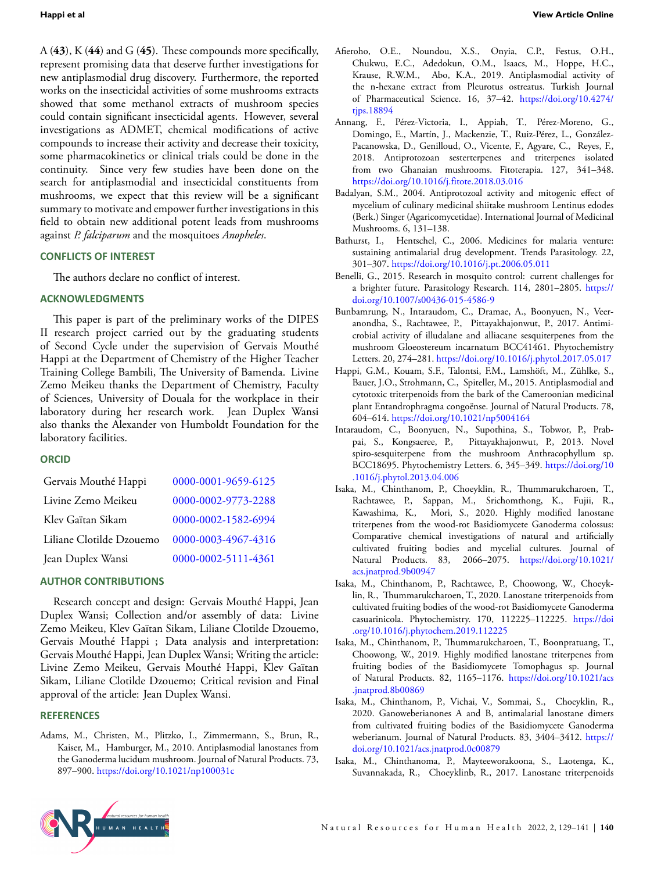<span id="page-11-11"></span>A (**43**), K (**44**) and G (**45**). These compounds more specifically, represent promising data that deserve further investigations for new antiplasmodial drug discovery. Furthermore, the reported works on the insecticidal activities of some mushrooms extracts showed that some methanol extracts of mushroom species could contain significant insecticidal agents. However, several investigations as ADMET, chemical modifications of active compounds to increase their activity and decrease their toxicity, some pharmacokinetics or clinical trials could be done in the continuity. Since very few studies have been done on the search for antiplasmodial and insecticidal constituents from mushrooms, we expect that this review will be a significant summary to motivate and empower further investigations in this field to obtain new additional potent leads from mushrooms against *P. falciparum* and the mosquitoes *Anopheles*.

# **CONFLICTS OF INTEREST**

<span id="page-11-15"></span><span id="page-11-14"></span>The authors declare no conflict of interest.

# **ACKNOWLEDGMENTS**

This paper is part of the preliminary works of the DIPES II research project carried out by the graduating students of Second Cycle under the supervision of Gervais Mouthé Happi at the Department of Chemistry of the Higher Teacher Training College Bambili, The University of Bamenda. Livine Zemo Meikeu thanks the Department of Chemistry, Faculty of Sciences, University of Douala for the workplace in their laboratory during her research work. Jean Duplex Wansi also thanks the Alexander von Humboldt Foundation for the laboratory facilities.

### **ORCID**

| Gervais Mouthé Happi     | 0000-0001-9659-6125 |
|--------------------------|---------------------|
| Livine Zemo Meikeu       | 0000-0002-9773-2288 |
| Klev Gaïtan Sikam        | 0000-0002-1582-6994 |
| Liliane Clotilde Dzouemo | 0000-0003-4967-4316 |
| Jean Duplex Wansi        | 0000-0002-5111-4361 |

### **AUTHOR CONTRIBUTIONS**

Research concept and design: Gervais Mouthé Happi, Jean Duplex Wansi; Collection and/or assembly of data: Livine Zemo Meikeu, Klev Gaïtan Sikam, Liliane Clotilde Dzouemo, Gervais Mouthé Happi ; Data analysis and interpretation: Gervais Mouthé Happi, Jean Duplex Wansi; Writing the article: Livine Zemo Meikeu, Gervais Mouthé Happi, Klev Gaïtan Sikam, Liliane Clotilde Dzouemo; Critical revision and Final approval of the article: Jean Duplex Wansi.

# **REFERENCES**

<span id="page-11-5"></span>Adams, M., Christen, M., Plitzko, I., Zimmermann, S., Brun, R., Kaiser, M., Hamburger, M., 2010. Antiplasmodial lanostanes from the Ganoderma lucidum mushroom. Journal of Natural Products. 73, 897–900. <https://doi.org/10.1021/np100031c>

- <span id="page-11-6"></span>Afieroho, O.E., Noundou, X.S., Onyia, C.P., Festus, O.H., Chukwu, E.C., Adedokun, O.M., Isaacs, M., Hoppe, H.C., Krause, R.W.M., Abo, K.A., 2019. Antiplasmodial activity of the n-hexane extract from Pleurotus ostreatus. Turkish Journal of Pharmaceutical Science. 16, 37–42. [https://doi.org/10.4274/](https://doi.org/10.4274/tjps.18894) [tjps.18894](https://doi.org/10.4274/tjps.18894)
- <span id="page-11-3"></span>Annang, F., Pérez-Victoria, I., Appiah, T., Pérez-Moreno, G., Domingo, E., Martín, J., Mackenzie, T., Ruiz-Pérez, L., González-Pacanowska, D., Genilloud, O., Vicente, F., Agyare, C., Reyes, F., 2018. Antiprotozoan sesterterpenes and triterpenes isolated from two Ghanaian mushrooms. Fitoterapia. 127, 341–348. <https://doi.org/10.1016/j.fitote.2018.03.016>
- <span id="page-11-4"></span>Badalyan, S.M., 2004. Antiprotozoal activity and mitogenic effect of mycelium of culinary medicinal shiitake mushroom Lentinus edodes (Berk.) Singer (Agaricomycetidae). International Journal of Medicinal Mushrooms. 6, 131–138.
- <span id="page-11-1"></span>Bathurst, I., Hentschel, C., 2006. Medicines for malaria venture: sustaining antimalarial drug development. Trends Parasitology. 22, 301–307. <https://doi.org/10.1016/j.pt.2006.05.011>
- <span id="page-11-2"></span>Benelli, G., 2015. Research in mosquito control: current challenges for a brighter future. Parasitology Research. 114, 2801–2805. [https://](https://doi.org/10.1007/s00436-015-4586-9) [doi.org/10.1007/s00436-015-4586-9](https://doi.org/10.1007/s00436-015-4586-9)
- <span id="page-11-22"></span><span id="page-11-18"></span><span id="page-11-17"></span><span id="page-11-16"></span><span id="page-11-13"></span><span id="page-11-12"></span><span id="page-11-10"></span>Bunbamrung, N., Intaraudom, C., Dramae, A., Boonyuen, N., Veeranondha, S., Rachtawee, P., Pittayakhajonwut, P., 2017. Antimicrobial activity of illudalane and alliacane sesquiterpenes from the mushroom Gloeostereum incarnatum BCC41461. Phytochemistry Letters. 20, 274–281. <https://doi.org/10.1016/j.phytol.2017.05.017>
- <span id="page-11-0"></span>Happi, G.M., Kouam, S.F., Talontsi, F.M., Lamshöft, M., Zühlke, S., Bauer, J.O., Strohmann, C., Spiteller, M., 2015. Antiplasmodial and cytotoxic triterpenoids from the bark of the Cameroonian medicinal plant Entandrophragma congoënse. Journal of Natural Products. 78, 604–614. <https://doi.org/10.1021/np5004164>
- <span id="page-11-21"></span>Intaraudom, C., Boonyuen, N., Supothina, S., Tobwor, P., Prabpai, S., Kongsaeree, P., Pittayakhajonwut, P., 2013. Novel spiro-sesquiterpene from the mushroom Anthracophyllum sp. BCC18695. Phytochemistry Letters. 6, 345–349. [https://doi.org/10](https://doi.org/10.1016/j.phytol.2013.04.006) [.1016/j.phytol.2013.04.006](https://doi.org/10.1016/j.phytol.2013.04.006)
- <span id="page-11-8"></span>Isaka, M., Chinthanom, P., Choeyklin, R., Thummarukcharoen, T., Rachtawee, P., Sappan, M., Srichomthong, K., Fujii, R., Kawashima, K., Mori, S., 2020. Highly modified lanostane triterpenes from the wood-rot Basidiomycete Ganoderma colossus: Comparative chemical investigations of natural and artificially cultivated fruiting bodies and mycelial cultures. Journal of Natural Products. 83, 2066–2075. [https://doi.org/10.1021/](https://doi.org/10.1021/acs.jnatprod.9b00947) [acs.jnatprod.9b00947](https://doi.org/10.1021/acs.jnatprod.9b00947)
- <span id="page-11-7"></span>Isaka, M., Chinthanom, P., Rachtawee, P., Choowong, W., Choeyklin, R., Thummarukcharoen, T., 2020. Lanostane triterpenoids from cultivated fruiting bodies of the wood-rot Basidiomycete Ganoderma casuarinicola. Phytochemistry. 170, 112225–112225. [https://doi](https://doi.org/10.1016/j.phytochem.2019.112225) [.org/10.1016/j.phytochem.2019.112225](https://doi.org/10.1016/j.phytochem.2019.112225)
- <span id="page-11-9"></span>Isaka, M., Chinthanom, P., Thummarukcharoen, T., Boonpratuang, T., Choowong, W., 2019. Highly modified lanostane triterpenes from fruiting bodies of the Basidiomycete Tomophagus sp. Journal of Natural Products. 82, 1165–1176. [https://doi.org/10.1021/acs](https://doi.org/10.1021/acs.jnatprod.8b00869) [.jnatprod.8b00869](https://doi.org/10.1021/acs.jnatprod.8b00869)
- <span id="page-11-19"></span>Isaka, M., Chinthanom, P., Vichai, V., Sommai, S., Choeyklin, R., 2020. Ganoweberianones A and B, antimalarial lanostane dimers from cultivated fruiting bodies of the Basidiomycete Ganoderma weberianum. Journal of Natural Products. 83, 3404–3412. [https://](https://doi.org/10.1021/acs.jnatprod.0c00879) [doi.org/10.1021/acs.jnatprod.0c00879](https://doi.org/10.1021/acs.jnatprod.0c00879)
- <span id="page-11-20"></span>Isaka, M., Chinthanoma, P., Mayteeworakoona, S., Laotenga, K., Suvannakada, R., Choeyklinb, R., 2017. Lanostane triterpenoids